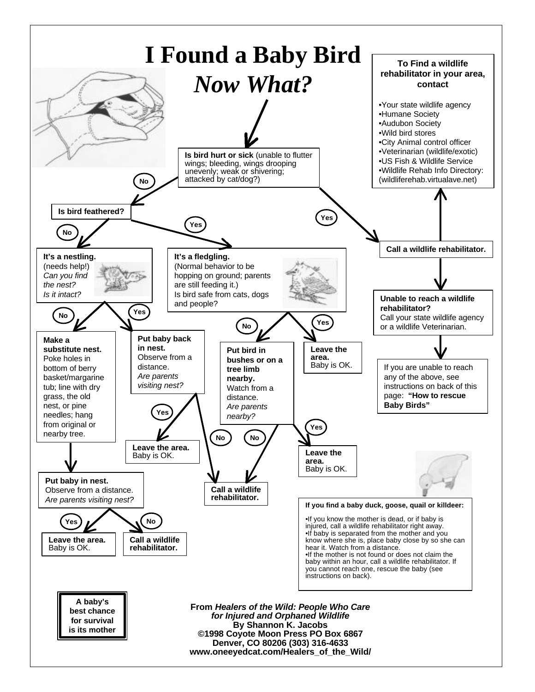